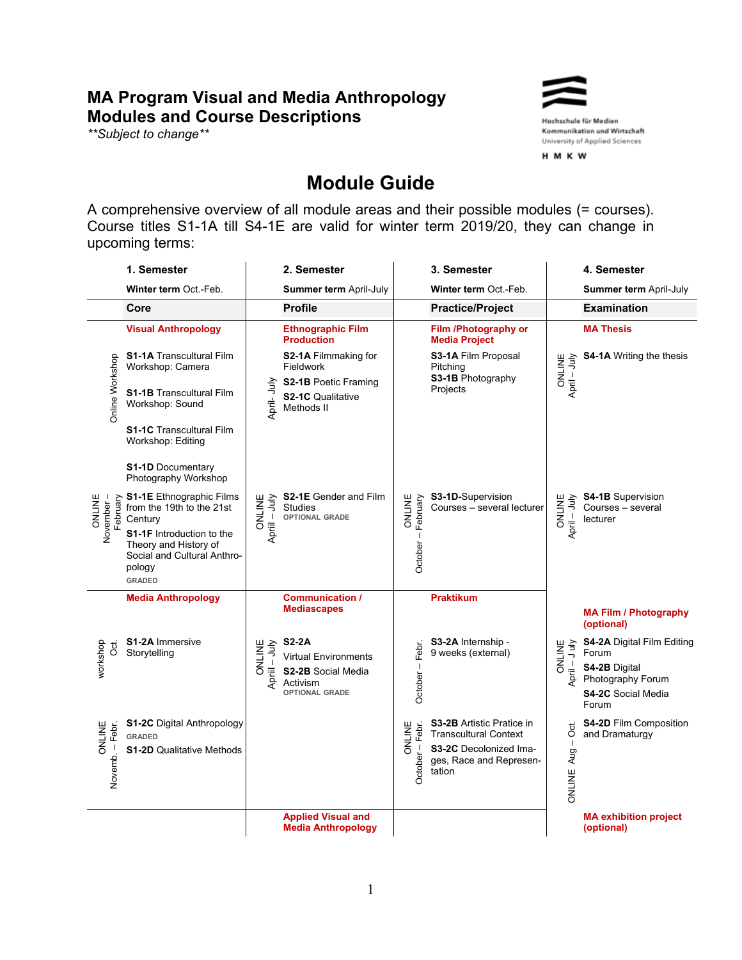## **MA Program Visual and Media Anthropology Modules and Course Descriptions**





Hochschule für Medien Kommunikation und Wirtschaft University of Applied Sciences

**HMKW** 

# **Module Guide**

A comprehensive overview of all module areas and their possible modules (= courses). Course titles S1-1A till S4-1E are valid for winter term 2019/20, they can change in upcoming terms:

|                           | 1. Semester                                                                                                                                                                                                           |                         | 2. Semester                                                                                                   |                                     | 3. Semester                                                                                                                     |                                    | 4. Semester                                                                                                            |
|---------------------------|-----------------------------------------------------------------------------------------------------------------------------------------------------------------------------------------------------------------------|-------------------------|---------------------------------------------------------------------------------------------------------------|-------------------------------------|---------------------------------------------------------------------------------------------------------------------------------|------------------------------------|------------------------------------------------------------------------------------------------------------------------|
|                           | Winter term Oct.-Feb.                                                                                                                                                                                                 |                         | Summer term April-July                                                                                        |                                     | Winter term Oct.-Feb.                                                                                                           |                                    | Summer term April-July                                                                                                 |
|                           | Core                                                                                                                                                                                                                  |                         | <b>Profile</b>                                                                                                |                                     | <b>Practice/Project</b>                                                                                                         |                                    | <b>Examination</b>                                                                                                     |
|                           | <b>Visual Anthropology</b>                                                                                                                                                                                            |                         | <b>Ethnographic Film</b><br><b>Production</b>                                                                 |                                     | Film /Photography or<br><b>Media Project</b>                                                                                    |                                    | <b>MA Thesis</b>                                                                                                       |
| Online Workshop           | <b>S1-1A Transcultural Film</b><br>Workshop: Camera                                                                                                                                                                   | April-July              | <b>S2-1A Filmmaking for</b><br>Fieldwork                                                                      |                                     | <b>S3-1A Film Proposal</b><br>Pitching<br>S3-1B Photography<br>Projects                                                         | ONLINE<br>April – July             | <b>S4-1A</b> Writing the thesis                                                                                        |
|                           | <b>S1-1B</b> Transcultural Film<br>Workshop: Sound                                                                                                                                                                    |                         | <b>S2-1B Poetic Framing</b><br><b>S2-1C Qualitative</b><br>Methods II                                         |                                     |                                                                                                                                 |                                    |                                                                                                                        |
|                           | <b>S1-1C</b> Transcultural Film<br>Workshop: Editing                                                                                                                                                                  |                         |                                                                                                               |                                     |                                                                                                                                 |                                    |                                                                                                                        |
|                           | <b>S1-1D</b> Documentary<br>Photography Workshop                                                                                                                                                                      |                         |                                                                                                               |                                     |                                                                                                                                 |                                    |                                                                                                                        |
| ONLINE<br>November-       | $\geq$ <b>S1-1E</b> Ethnographic Films<br>g from the 19th to the 21st<br>$\frac{5}{9}$ Century<br><b>S1-1F</b> Introduction to the<br>Theory and History of<br>Social and Cultural Anthro-<br>pology<br><b>GRADED</b> | ONLINE<br>Aprill - July | <b>S2-1E</b> Gender and Film<br><b>Studies</b><br><b>OPTIONAL GRADE</b>                                       | ONLINE<br>October - February        | S3-1D-Supervision<br>Courses - several lecturer                                                                                 | ONLINE<br>April - July             | <b>S4-1B</b> Supervision<br>Courses - several<br>lecturer                                                              |
|                           | <b>Media Anthropology</b>                                                                                                                                                                                             |                         | <b>Communication /</b><br><b>Mediascapes</b>                                                                  |                                     | <b>Praktikum</b>                                                                                                                |                                    | <b>MA Film / Photography</b><br>(optional)                                                                             |
| ğ<br>workshop             | <b>S1-2A Immersive</b><br>Storytelling                                                                                                                                                                                | ONLINE<br>Apriil - July | <b>S2-2A</b><br><b>Virtual Environments</b><br><b>S2-2B</b> Social Media<br>Activism<br><b>OPTIONAL GRADE</b> | October - Febr.                     | S3-2A Internship -<br>9 weeks (external)                                                                                        | ONLINE<br>April – July             | <b>S4-2A Digital Film Editing</b><br>Forum<br>S4-2B Digital<br>Photography Forum<br><b>S4-2C</b> Social Media<br>Forum |
| ONLINE<br>Novemb. - Febr. | <b>S1-2C</b> Digital Anthropology<br><b>GRADED</b><br><b>S1-2D</b> Qualitative Methods                                                                                                                                |                         |                                                                                                               | <b>JAILINE</b><br>Febr.<br>October- | <b>S3-2B</b> Artistic Pratice in<br><b>Transcultural Context</b><br>S3-2C Decolonized Ima-<br>ges, Race and Represen-<br>tation | .oct<br>$\mathbf{I}$<br>ONLINE Aug | <b>S4-2D Film Composition</b><br>and Dramaturgy                                                                        |
|                           |                                                                                                                                                                                                                       |                         | <b>Applied Visual and</b><br><b>Media Anthropology</b>                                                        |                                     |                                                                                                                                 |                                    | <b>MA exhibition project</b><br>(optional)                                                                             |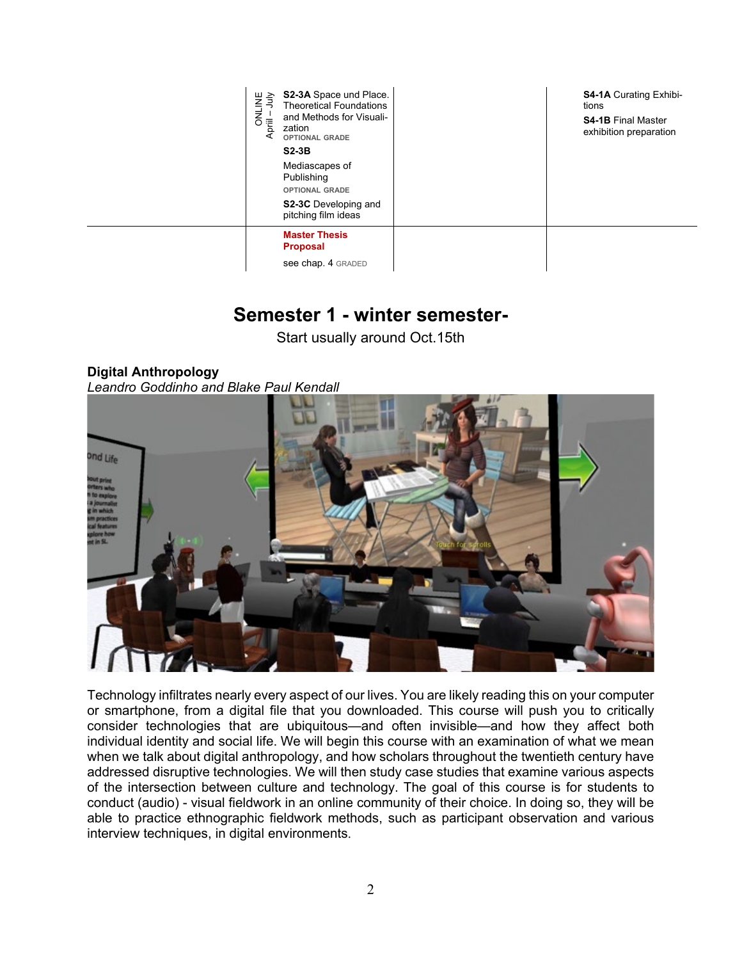| ONLINE<br>riil – July<br>Apriil | S2-3A Space und Place.<br><b>Theoretical Foundations</b><br>and Methods for Visuali-<br>zation<br><b>OPTIONAL GRADE</b><br>$S2-3B$ | <b>S4-1A Curating Exhibi-</b><br>tions<br><b>S4-1B Final Master</b><br>exhibition preparation |
|---------------------------------|------------------------------------------------------------------------------------------------------------------------------------|-----------------------------------------------------------------------------------------------|
|                                 | Mediascapes of<br>Publishing<br><b>OPTIONAL GRADE</b>                                                                              |                                                                                               |
|                                 | <b>S2-3C</b> Developing and<br>pitching film ideas                                                                                 |                                                                                               |
|                                 | <b>Master Thesis</b><br><b>Proposal</b><br>see chap. 4 GRADED                                                                      |                                                                                               |

# **Semester 1 - winter semester-**

Start usually around Oct.15th

### **Digital Anthropology**

*Leandro Goddinho and Blake Paul Kendall*



Technology infiltrates nearly every aspect of our lives. You are likely reading this on your computer or smartphone, from a digital file that you downloaded. This course will push you to critically consider technologies that are ubiquitous—and often invisible—and how they affect both individual identity and social life. We will begin this course with an examination of what we mean when we talk about digital anthropology, and how scholars throughout the twentieth century have addressed disruptive technologies. We will then study case studies that examine various aspects of the intersection between culture and technology. The goal of this course is for students to conduct (audio) - visual fieldwork in an online community of their choice. In doing so, they will be able to practice ethnographic fieldwork methods, such as participant observation and various interview techniques, in digital environments.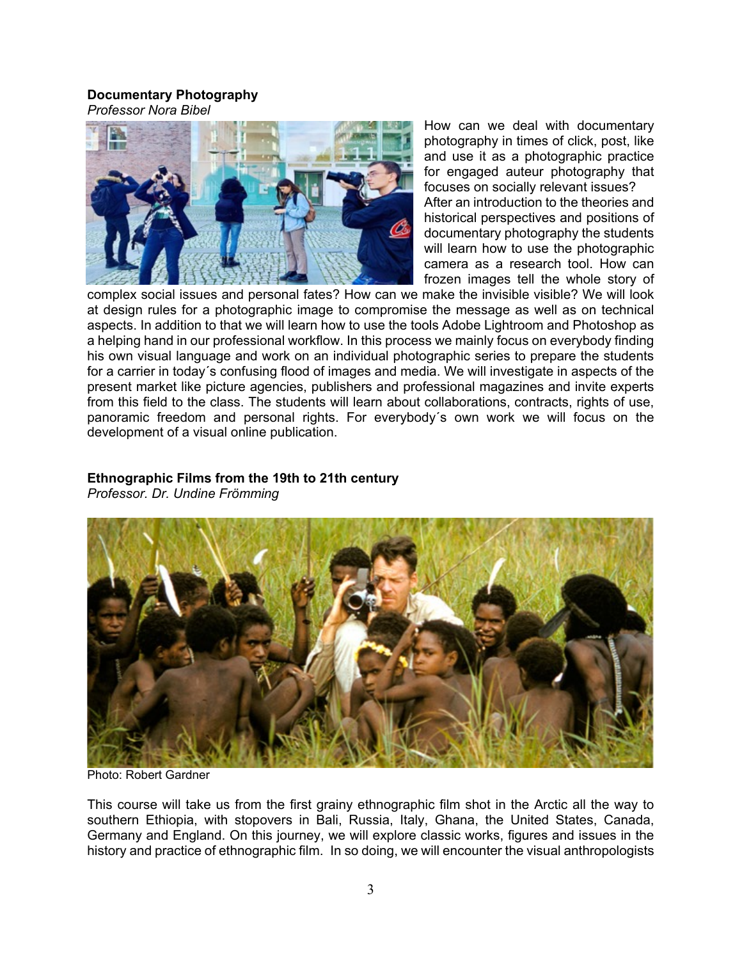#### **Documentary Photography** *Professor Nora Bibel*



How can we deal with documentary photography in times of click, post, like and use it as a photographic practice for engaged auteur photography that focuses on socially relevant issues? After an introduction to the theories and historical perspectives and positions of documentary photography the students will learn how to use the photographic camera as a research tool. How can frozen images tell the whole story of

complex social issues and personal fates? How can we make the invisible visible? We will look at design rules for a photographic image to compromise the message as well as on technical aspects. In addition to that we will learn how to use the tools Adobe Lightroom and Photoshop as a helping hand in our professional workflow. In this process we mainly focus on everybody finding his own visual language and work on an individual photographic series to prepare the students for a carrier in today´s confusing flood of images and media. We will investigate in aspects of the present market like picture agencies, publishers and professional magazines and invite experts from this field to the class. The students will learn about collaborations, contracts, rights of use, panoramic freedom and personal rights. For everybody´s own work we will focus on the development of a visual online publication.

## **Ethnographic Films from the 19th to 21th century**

*Professor. Dr. Undine Frömming*



Photo: Robert Gardner

This course will take us from the first grainy ethnographic film shot in the Arctic all the way to southern Ethiopia, with stopovers in Bali, Russia, Italy, Ghana, the United States, Canada, Germany and England. On this journey, we will explore classic works, figures and issues in the history and practice of ethnographic film. In so doing, we will encounter the visual anthropologists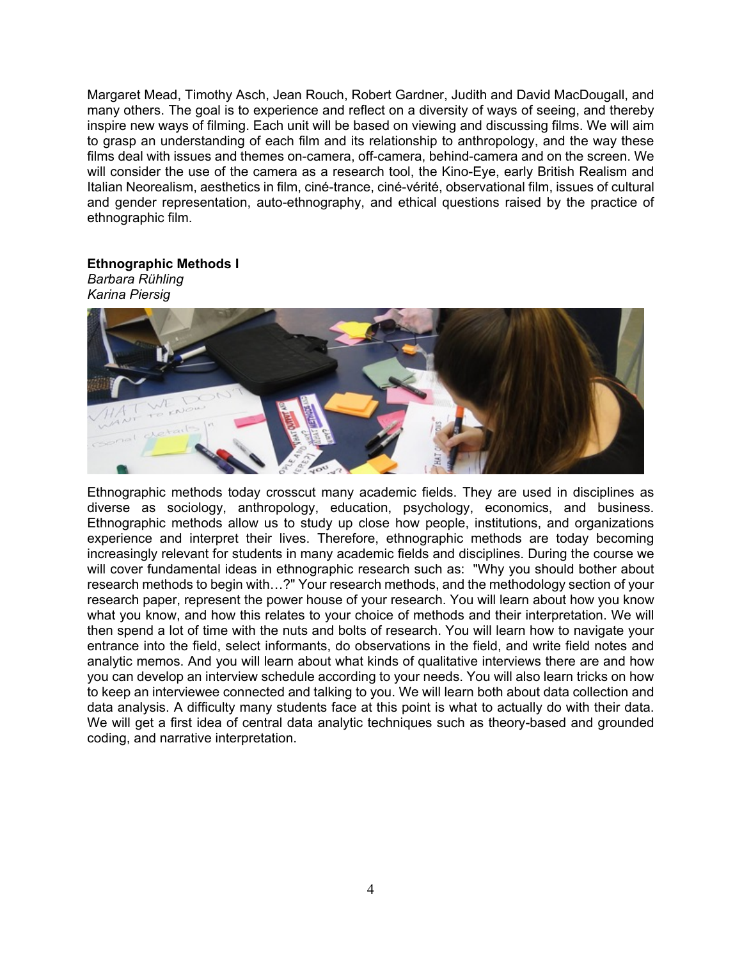Margaret Mead, Timothy Asch, Jean Rouch, Robert Gardner, Judith and David MacDougall, and many others. The goal is to experience and reflect on a diversity of ways of seeing, and thereby inspire new ways of filming. Each unit will be based on viewing and discussing films. We will aim to grasp an understanding of each film and its relationship to anthropology, and the way these films deal with issues and themes on-camera, off-camera, behind-camera and on the screen. We will consider the use of the camera as a research tool, the Kino-Eye, early British Realism and Italian Neorealism, aesthetics in film, ciné-trance, ciné-vérité, observational film, issues of cultural and gender representation, auto-ethnography, and ethical questions raised by the practice of ethnographic film.

**Ethnographic Methods I** *Barbara Rühling Karina Piersig*



Ethnographic methods today crosscut many academic fields. They are used in disciplines as diverse as sociology, anthropology, education, psychology, economics, and business. Ethnographic methods allow us to study up close how people, institutions, and organizations experience and interpret their lives. Therefore, ethnographic methods are today becoming increasingly relevant for students in many academic fields and disciplines. During the course we will cover fundamental ideas in ethnographic research such as: "Why you should bother about research methods to begin with…?" Your research methods, and the methodology section of your research paper, represent the power house of your research. You will learn about how you know what you know, and how this relates to your choice of methods and their interpretation. We will then spend a lot of time with the nuts and bolts of research. You will learn how to navigate your entrance into the field, select informants, do observations in the field, and write field notes and analytic memos. And you will learn about what kinds of qualitative interviews there are and how you can develop an interview schedule according to your needs. You will also learn tricks on how to keep an interviewee connected and talking to you. We will learn both about data collection and data analysis. A difficulty many students face at this point is what to actually do with their data. We will get a first idea of central data analytic techniques such as theory-based and grounded coding, and narrative interpretation.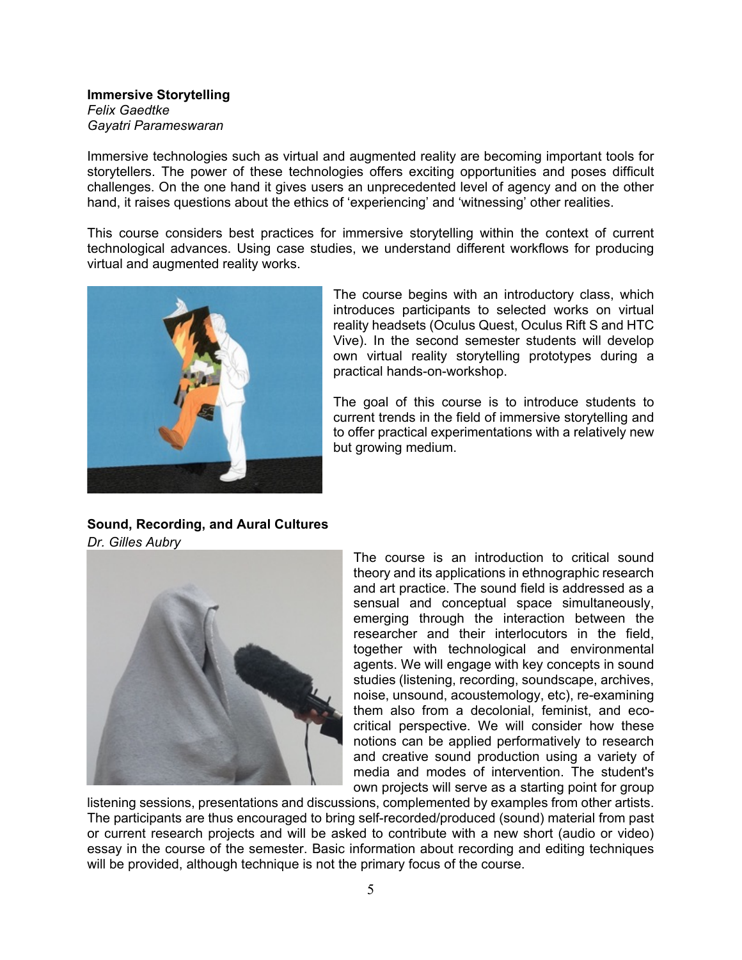#### **Immersive Storytelling** *Felix Gaedtke Gayatri Parameswaran*

Immersive technologies such as virtual and augmented reality are becoming important tools for storytellers. The power of these technologies offers exciting opportunities and poses difficult challenges. On the one hand it gives users an unprecedented level of agency and on the other hand, it raises questions about the ethics of 'experiencing' and 'witnessing' other realities.

This course considers best practices for immersive storytelling within the context of current technological advances. Using case studies, we understand different workflows for producing virtual and augmented reality works.



The course begins with an introductory class, which introduces participants to selected works on virtual reality headsets (Oculus Quest, Oculus Rift S and HTC Vive). In the second semester students will develop own virtual reality storytelling prototypes during a practical hands-on-workshop.

The goal of this course is to introduce students to current trends in the field of immersive storytelling and to offer practical experimentations with a relatively new but growing medium.

**Sound, Recording, and Aural Cultures** *Dr. Gilles Aubry*



The course is an introduction to critical sound theory and its applications in ethnographic research and art practice. The sound field is addressed as a sensual and conceptual space simultaneously, emerging through the interaction between the researcher and their interlocutors in the field, together with technological and environmental agents. We will engage with key concepts in sound studies (listening, recording, soundscape, archives, noise, unsound, acoustemology, etc), re-examining them also from a decolonial, feminist, and ecocritical perspective. We will consider how these notions can be applied performatively to research and creative sound production using a variety of media and modes of intervention. The student's own projects will serve as a starting point for group

listening sessions, presentations and discussions, complemented by examples from other artists. The participants are thus encouraged to bring self-recorded/produced (sound) material from past or current research projects and will be asked to contribute with a new short (audio or video) essay in the course of the semester. Basic information about recording and editing techniques will be provided, although technique is not the primary focus of the course.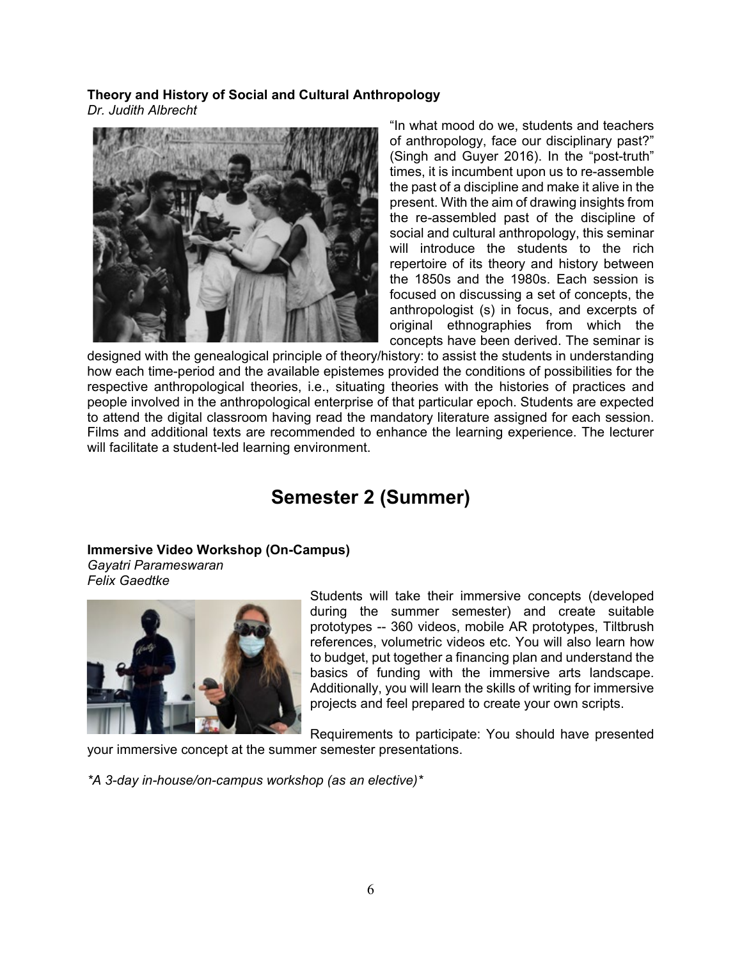## **Theory and History of Social and Cultural Anthropology**

*Dr. Judith Albrecht*



"In what mood do we, students and teachers of anthropology, face our disciplinary past?" (Singh and Guyer 2016). In the "post-truth" times, it is incumbent upon us to re-assemble the past of a discipline and make it alive in the present. With the aim of drawing insights from the re-assembled past of the discipline of social and cultural anthropology, this seminar will introduce the students to the rich repertoire of its theory and history between the 1850s and the 1980s. Each session is focused on discussing a set of concepts, the anthropologist (s) in focus, and excerpts of original ethnographies from which the concepts have been derived. The seminar is

designed with the genealogical principle of theory/history: to assist the students in understanding how each time-period and the available epistemes provided the conditions of possibilities for the respective anthropological theories, i.e., situating theories with the histories of practices and people involved in the anthropological enterprise of that particular epoch. Students are expected to attend the digital classroom having read the mandatory literature assigned for each session. Films and additional texts are recommended to enhance the learning experience. The lecturer will facilitate a student-led learning environment.

# **Semester 2 (Summer)**

**Immersive Video Workshop (On-Campus)**

*Gayatri Parameswaran Felix Gaedtke*



Students will take their immersive concepts (developed during the summer semester) and create suitable prototypes -- 360 videos, mobile AR prototypes, Tiltbrush references, volumetric videos etc. You will also learn how to budget, put together a financing plan and understand the basics of funding with the immersive arts landscape. Additionally, you will learn the skills of writing for immersive projects and feel prepared to create your own scripts.

Requirements to participate: You should have presented your immersive concept at the summer semester presentations.

*\*A 3-day in-house/on-campus workshop (as an elective)\**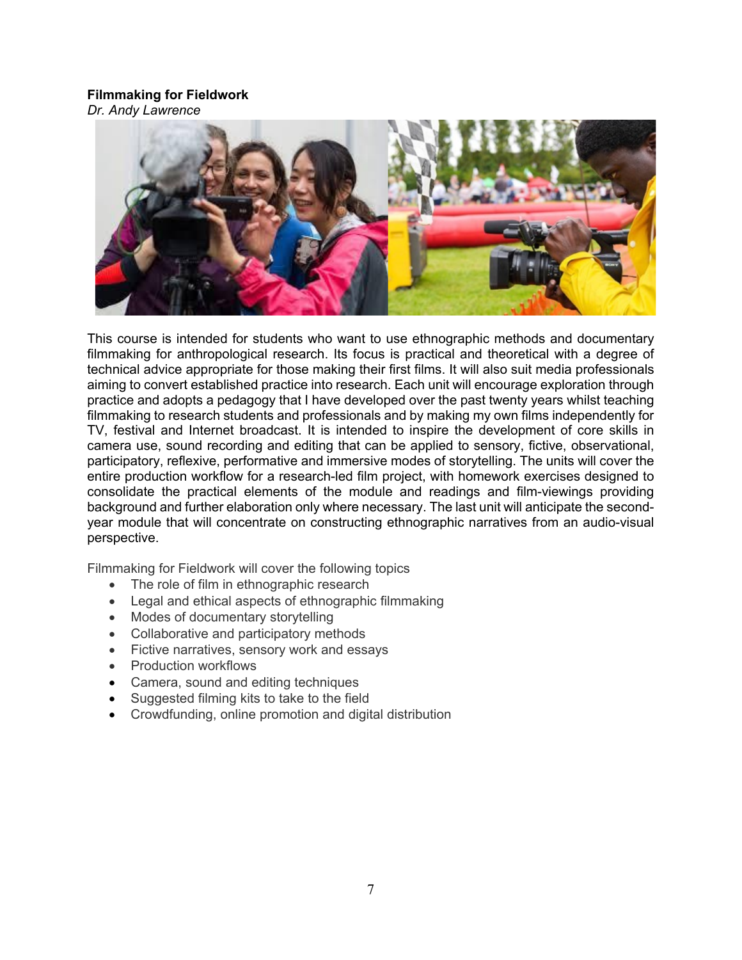## **Filmmaking for Fieldwork**

*Dr. Andy Lawrence*



This course is intended for students who want to use ethnographic methods and documentary filmmaking for anthropological research. Its focus is practical and theoretical with a degree of technical advice appropriate for those making their first films. It will also suit media professionals aiming to convert established practice into research. Each unit will encourage exploration through practice and adopts a pedagogy that I have developed over the past twenty years whilst teaching filmmaking to research students and professionals and by making my own films independently for TV, festival and Internet broadcast. It is intended to inspire the development of core skills in camera use, sound recording and editing that can be applied to sensory, fictive, observational, participatory, reflexive, performative and immersive modes of storytelling. The units will cover the entire production workflow for a research-led film project, with homework exercises designed to consolidate the practical elements of the module and readings and film-viewings providing background and further elaboration only where necessary. The last unit will anticipate the secondyear module that will concentrate on constructing ethnographic narratives from an audio-visual perspective.

Filmmaking for Fieldwork will cover the following topics

- The role of film in ethnographic research
- Legal and ethical aspects of ethnographic filmmaking
- Modes of documentary storytelling
- Collaborative and participatory methods
- Fictive narratives, sensory work and essays
- Production workflows
- Camera, sound and editing techniques
- Suggested filming kits to take to the field
- Crowdfunding, online promotion and digital distribution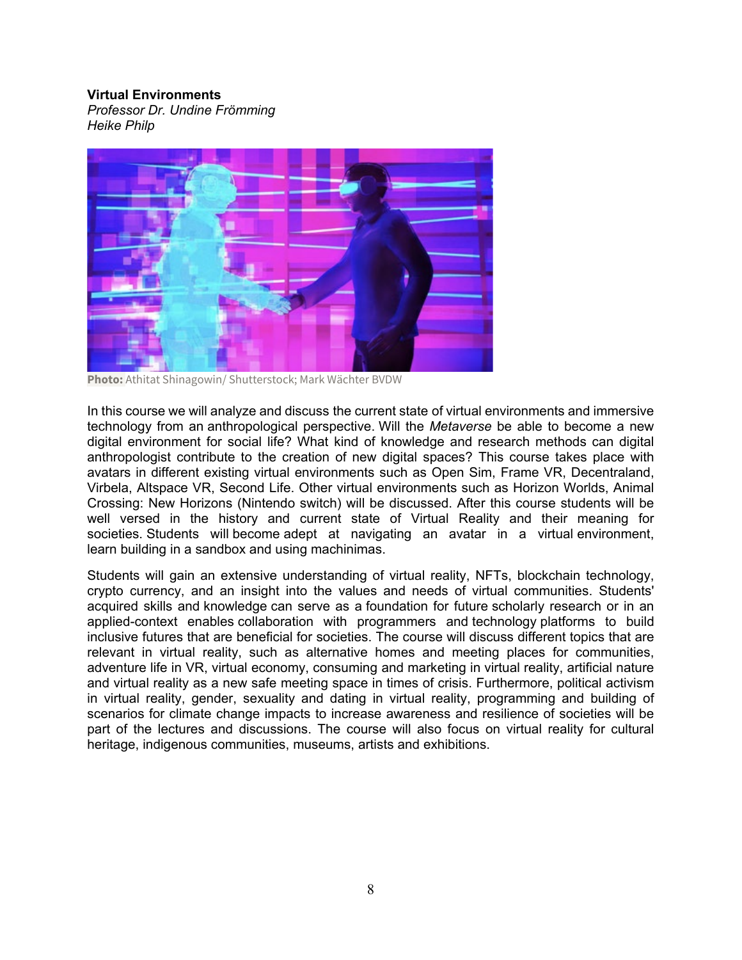#### **Virtual Environments**

*Professor Dr. Undine Frömming Heike Philp*



**Photo:** Athitat Shinagowin/ Shutterstock; Mark Wächter BVDW

In this course we will analyze and discuss the current state of virtual environments and immersive technology from an anthropological perspective. Will the *Metaverse* be able to become a new digital environment for social life? What kind of knowledge and research methods can digital anthropologist contribute to the creation of new digital spaces? This course takes place with avatars in different existing virtual environments such as Open Sim, Frame VR, Decentraland, Virbela, Altspace VR, Second Life. Other virtual environments such as Horizon Worlds, Animal Crossing: New Horizons (Nintendo switch) will be discussed. After this course students will be well versed in the history and current state of Virtual Reality and their meaning for societies. Students will become adept at navigating an avatar in a virtual environment, learn building in a sandbox and using machinimas.

Students will gain an extensive understanding of virtual reality, NFTs, blockchain technology, crypto currency, and an insight into the values and needs of virtual communities. Students' acquired skills and knowledge can serve as a foundation for future scholarly research or in an applied-context enables collaboration with programmers and technology platforms to build inclusive futures that are beneficial for societies. The course will discuss different topics that are relevant in virtual reality, such as alternative homes and meeting places for communities, adventure life in VR, virtual economy, consuming and marketing in virtual reality, artificial nature and virtual reality as a new safe meeting space in times of crisis. Furthermore, political activism in virtual reality, gender, sexuality and dating in virtual reality, programming and building of scenarios for climate change impacts to increase awareness and resilience of societies will be part of the lectures and discussions. The course will also focus on virtual reality for cultural heritage, indigenous communities, museums, artists and exhibitions.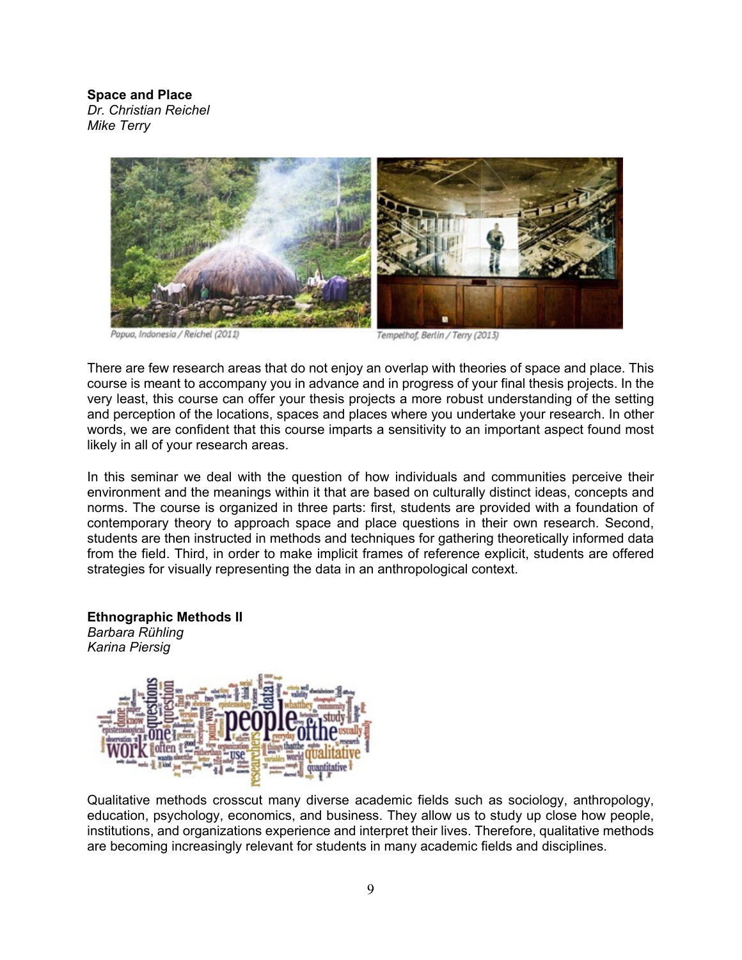**Space and Place** *Dr. Christian Reichel Mike Terry*



Papua, Indonesia / Reichel (2011)

Tempelhof, Berlin / Terry (2013)

There are few research areas that do not enjoy an overlap with theories of space and place. This course is meant to accompany you in advance and in progress of your final thesis projects. In the very least, this course can offer your thesis projects a more robust understanding of the setting and perception of the locations, spaces and places where you undertake your research. In other words, we are confident that this course imparts a sensitivity to an important aspect found most likely in all of your research areas.

In this seminar we deal with the question of how individuals and communities perceive their environment and the meanings within it that are based on culturally distinct ideas, concepts and norms. The course is organized in three parts: first, students are provided with a foundation of contemporary theory to approach space and place questions in their own research. Second, students are then instructed in methods and techniques for gathering theoretically informed data from the field. Third, in order to make implicit frames of reference explicit, students are offered strategies for visually representing the data in an anthropological context.

**Ethnographic Methods II** *Barbara Rühling Karina Piersig*



Qualitative methods crosscut many diverse academic fields such as sociology, anthropology, education, psychology, economics, and business. They allow us to study up close how people, institutions, and organizations experience and interpret their lives. Therefore, qualitative methods are becoming increasingly relevant for students in many academic fields and disciplines.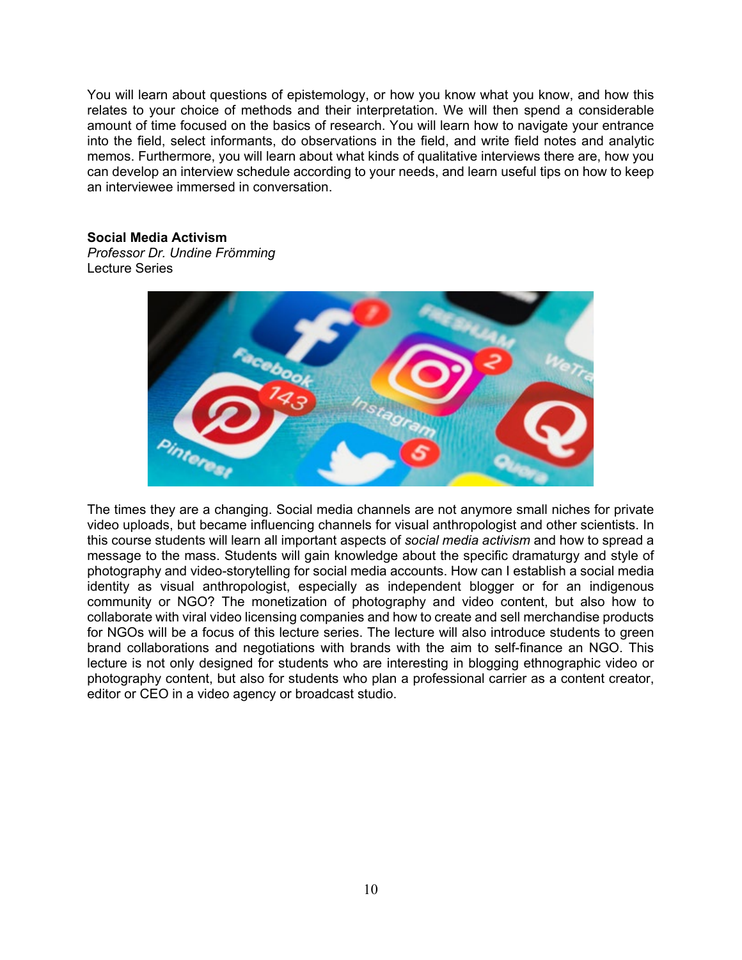You will learn about questions of epistemology, or how you know what you know, and how this relates to your choice of methods and their interpretation. We will then spend a considerable amount of time focused on the basics of research. You will learn how to navigate your entrance into the field, select informants, do observations in the field, and write field notes and analytic memos. Furthermore, you will learn about what kinds of qualitative interviews there are, how you can develop an interview schedule according to your needs, and learn useful tips on how to keep an interviewee immersed in conversation.

#### **Social Media Activism**

*Professor Dr. Undine Frömming* Lecture Series



The times they are a changing. Social media channels are not anymore small niches for private video uploads, but became influencing channels for visual anthropologist and other scientists. In this course students will learn all important aspects of *social media activism* and how to spread a message to the mass. Students will gain knowledge about the specific dramaturgy and style of photography and video-storytelling for social media accounts. How can I establish a social media identity as visual anthropologist, especially as independent blogger or for an indigenous community or NGO? The monetization of photography and video content, but also how to collaborate with viral video licensing companies and how to create and sell merchandise products for NGOs will be a focus of this lecture series. The lecture will also introduce students to green brand collaborations and negotiations with brands with the aim to self-finance an NGO. This lecture is not only designed for students who are interesting in blogging ethnographic video or photography content, but also for students who plan a professional carrier as a content creator, editor or CEO in a video agency or broadcast studio.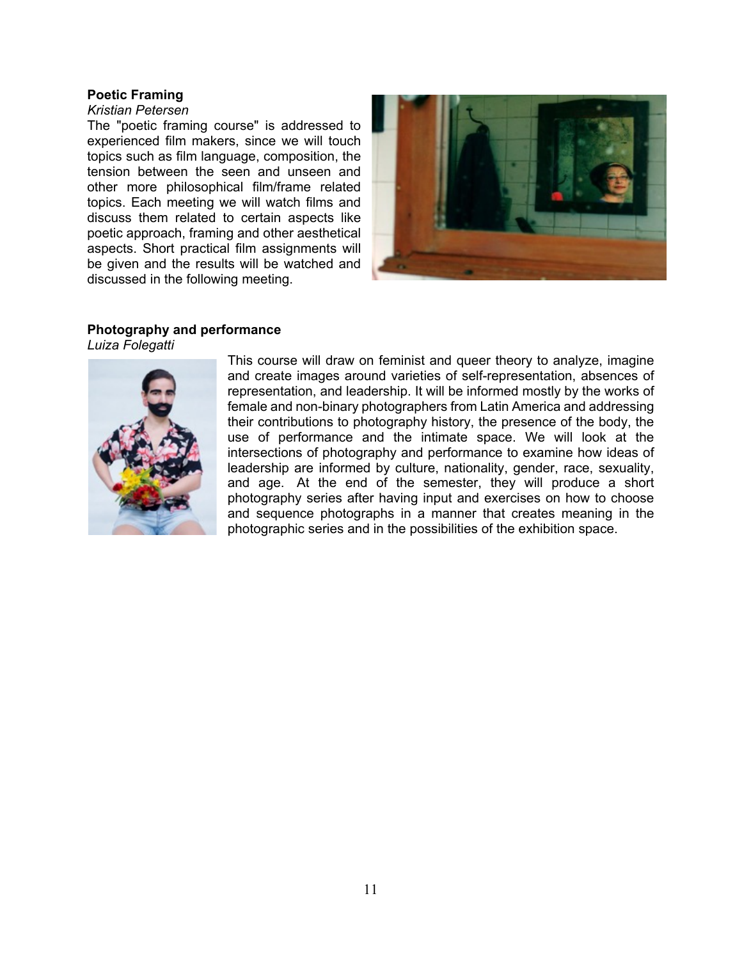#### **Poetic Framing**

*Kristian Petersen*

The "poetic framing course" is addressed to experienced film makers, since we will touch topics such as film language, composition, the tension between the seen and unseen and other more philosophical film/frame related topics. Each meeting we will watch films and discuss them related to certain aspects like poetic approach, framing and other aesthetical aspects. Short practical film assignments will be given and the results will be watched and discussed in the following meeting.



### **Photography and performance**

*Luiza Folegatti* 



This course will draw on feminist and queer theory to analyze, imagine and create images around varieties of self-representation, absences of representation, and leadership. It will be informed mostly by the works of female and non-binary photographers from Latin America and addressing their contributions to photography history, the presence of the body, the use of performance and the intimate space. We will look at the intersections of photography and performance to examine how ideas of leadership are informed by culture, nationality, gender, race, sexuality, and age. At the end of the semester, they will produce a short photography series after having input and exercises on how to choose and sequence photographs in a manner that creates meaning in the photographic series and in the possibilities of the exhibition space.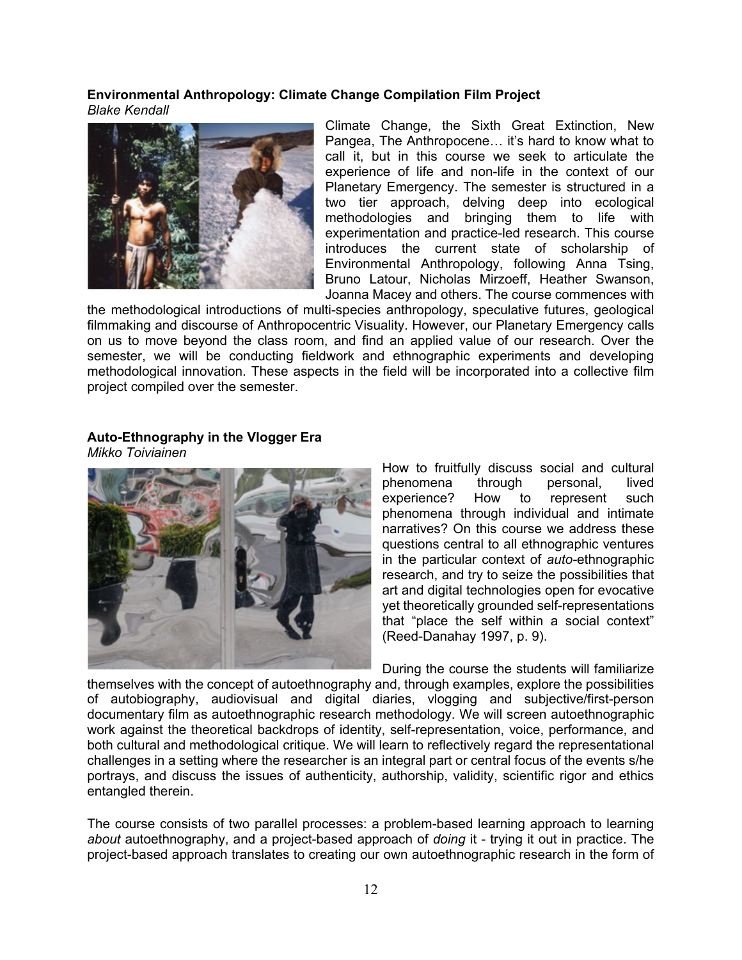#### **Environmental Anthropology: Climate Change Compilation Film Project** *Blake Kendall*



Climate Change, the Sixth Great Extinction, New Pangea, The Anthropocene… it's hard to know what to call it, but in this course we seek to articulate the experience of life and non-life in the context of our Planetary Emergency. The semester is structured in a two tier approach, delving deep into ecological methodologies and bringing them to life with experimentation and practice-led research. This course introduces the current state of scholarship of Environmental Anthropology, following Anna Tsing, Bruno Latour, Nicholas Mirzoeff, Heather Swanson, Joanna Macey and others. The course commences with

the methodological introductions of multi-species anthropology, speculative futures, geological filmmaking and discourse of Anthropocentric Visuality. However, our Planetary Emergency calls on us to move beyond the class room, and find an applied value of our research. Over the semester, we will be conducting fieldwork and ethnographic experiments and developing methodological innovation. These aspects in the field will be incorporated into a collective film project compiled over the semester.

## **Auto-Ethnography in the Vlogger Era**

*Mikko Toiviainen*



How to fruitfully discuss social and cultural phenomena through personal, lived experience? How to represent such phenomena through individual and intimate narratives? On this course we address these questions central to all ethnographic ventures in the particular context of *auto-*ethnographic research, and try to seize the possibilities that art and digital technologies open for evocative yet theoretically grounded self-representations that "place the self within a social context" (Reed-Danahay 1997, p. 9).

During the course the students will familiarize

themselves with the concept of autoethnography and, through examples, explore the possibilities of autobiography, audiovisual and digital diaries, vlogging and subjective/first-person documentary film as autoethnographic research methodology. We will screen autoethnographic work against the theoretical backdrops of identity, self-representation, voice, performance, and both cultural and methodological critique. We will learn to reflectively regard the representational challenges in a setting where the researcher is an integral part or central focus of the events s/he portrays, and discuss the issues of authenticity, authorship, validity, scientific rigor and ethics entangled therein.

The course consists of two parallel processes: a problem-based learning approach to learning *about* autoethnography, and a project-based approach of *doing* it - trying it out in practice. The project-based approach translates to creating our own autoethnographic research in the form of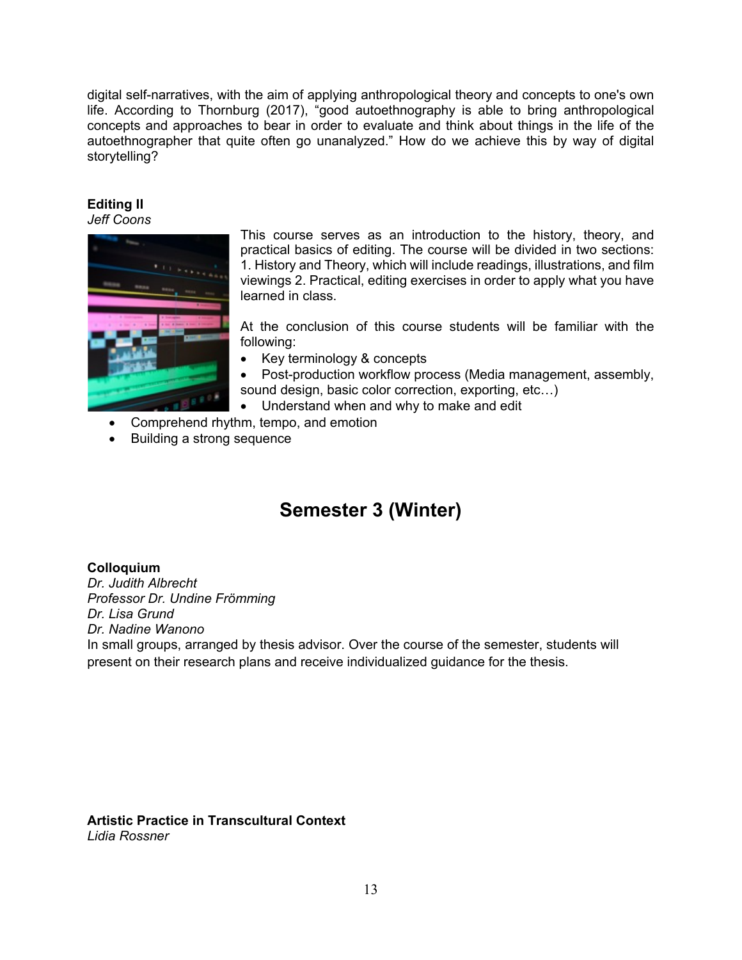digital self-narratives, with the aim of applying anthropological theory and concepts to one's own life. According to Thornburg (2017), "good autoethnography is able to bring anthropological concepts and approaches to bear in order to evaluate and think about things in the life of the autoethnographer that quite often go unanalyzed." How do we achieve this by way of digital storytelling?

#### **Editing II** *Jeff Coons*



This course serves as an introduction to the history, theory, and practical basics of editing. The course will be divided in two sections: 1. History and Theory, which will include readings, illustrations, and film viewings 2. Practical, editing exercises in order to apply what you have learned in class.

At the conclusion of this course students will be familiar with the following:

• Key terminology & concepts

• Post-production workflow process (Media management, assembly, sound design, basic color correction, exporting, etc…)

- Understand when and why to make and edit
- Comprehend rhythm, tempo, and emotion
- Building a strong sequence

# **Semester 3 (Winter)**

#### **Colloquium**

*Dr. Judith Albrecht Professor Dr. Undine Frömming Dr. Lisa Grund Dr. Nadine Wanono* In small groups, arranged by thesis advisor. Over the course of the semester, students will present on their research plans and receive individualized guidance for the thesis.

**Artistic Practice in Transcultural Context** *Lidia Rossner*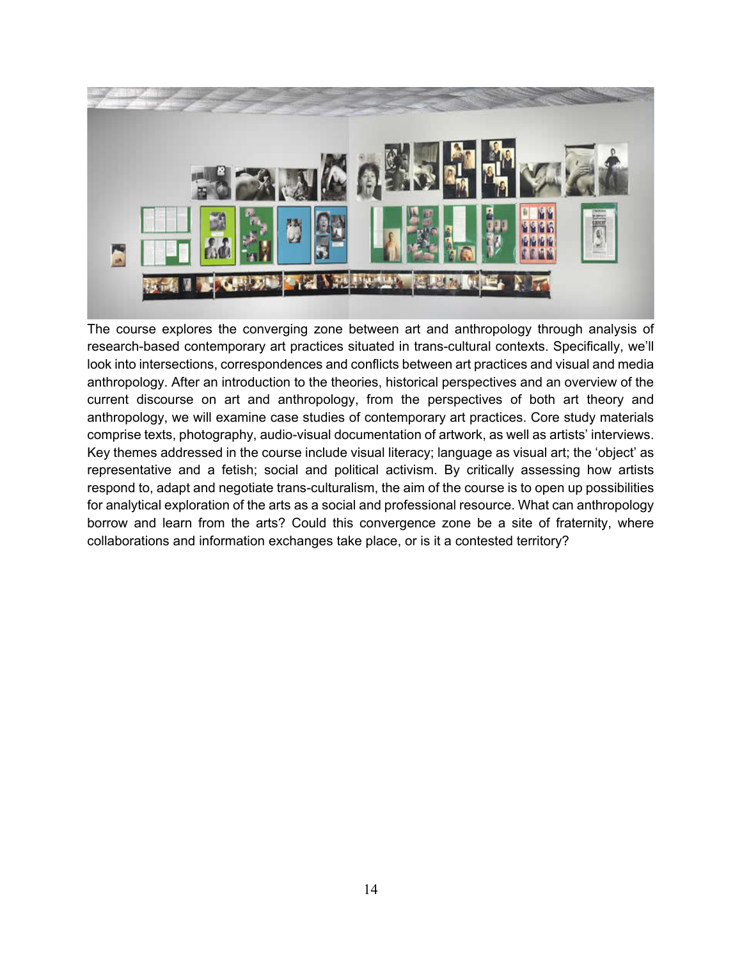

The course explores the converging zone between art and anthropology through analysis of research-based contemporary art practices situated in trans-cultural contexts. Specifically, we'll look into intersections, correspondences and conflicts between art practices and visual and media anthropology. After an introduction to the theories, historical perspectives and an overview of the current discourse on art and anthropology, from the perspectives of both art theory and anthropology, we will examine case studies of contemporary art practices. Core study materials comprise texts, photography, audio-visual documentation of artwork, as well as artists' interviews. Key themes addressed in the course include visual literacy; language as visual art; the 'object' as representative and a fetish; social and political activism. By critically assessing how artists respond to, adapt and negotiate trans-culturalism, the aim of the course is to open up possibilities for analytical exploration of the arts as a social and professional resource. What can anthropology borrow and learn from the arts? Could this convergence zone be a site of fraternity, where collaborations and information exchanges take place, or is it a contested territory?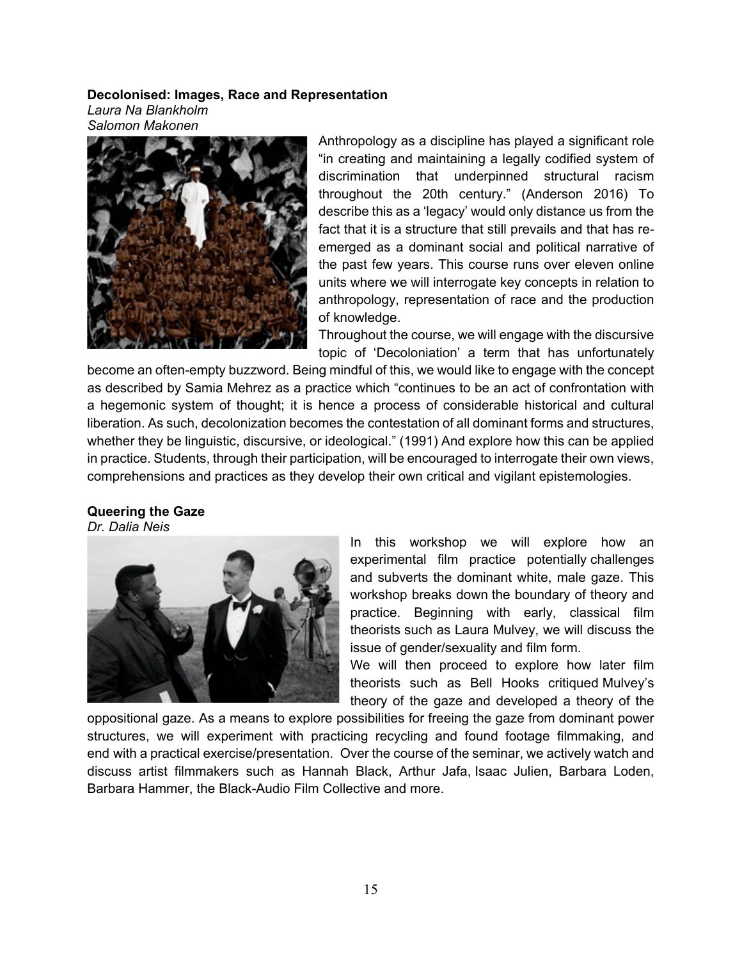## **Decolonised: Images, Race and Representation**

*Laura Na Blankholm Salomon Makonen*



Anthropology as a discipline has played a significant role "in creating and maintaining a legally codified system of discrimination that underpinned structural racism throughout the 20th century." (Anderson 2016) To describe this as a 'legacy' would only distance us from the fact that it is a structure that still prevails and that has reemerged as a dominant social and political narrative of the past few years. This course runs over eleven online units where we will interrogate key concepts in relation to anthropology, representation of race and the production of knowledge.

Throughout the course, we will engage with the discursive topic of 'Decoloniation' a term that has unfortunately

become an often-empty buzzword. Being mindful of this, we would like to engage with the concept as described by Samia Mehrez as a practice which "continues to be an act of confrontation with a hegemonic system of thought; it is hence a process of considerable historical and cultural liberation. As such, decolonization becomes the contestation of all dominant forms and structures, whether they be linguistic, discursive, or ideological." (1991) And explore how this can be applied in practice. Students, through their participation, will be encouraged to interrogate their own views, comprehensions and practices as they develop their own critical and vigilant epistemologies.

## **Queering the Gaze**

*Dr. Dalia Neis*



In this workshop we will explore how an experimental film practice potentially challenges and subverts the dominant white, male gaze. This workshop breaks down the boundary of theory and practice. Beginning with early, classical film theorists such as Laura Mulvey, we will discuss the issue of gender/sexuality and film form.

We will then proceed to explore how later film theorists such as Bell Hooks critiqued Mulvey's theory of the gaze and developed a theory of the

oppositional gaze. As a means to explore possibilities for freeing the gaze from dominant power structures, we will experiment with practicing recycling and found footage filmmaking, and end with a practical exercise/presentation. Over the course of the seminar, we actively watch and discuss artist filmmakers such as Hannah Black, Arthur Jafa, Isaac Julien, Barbara Loden, Barbara Hammer, the Black-Audio Film Collective and more.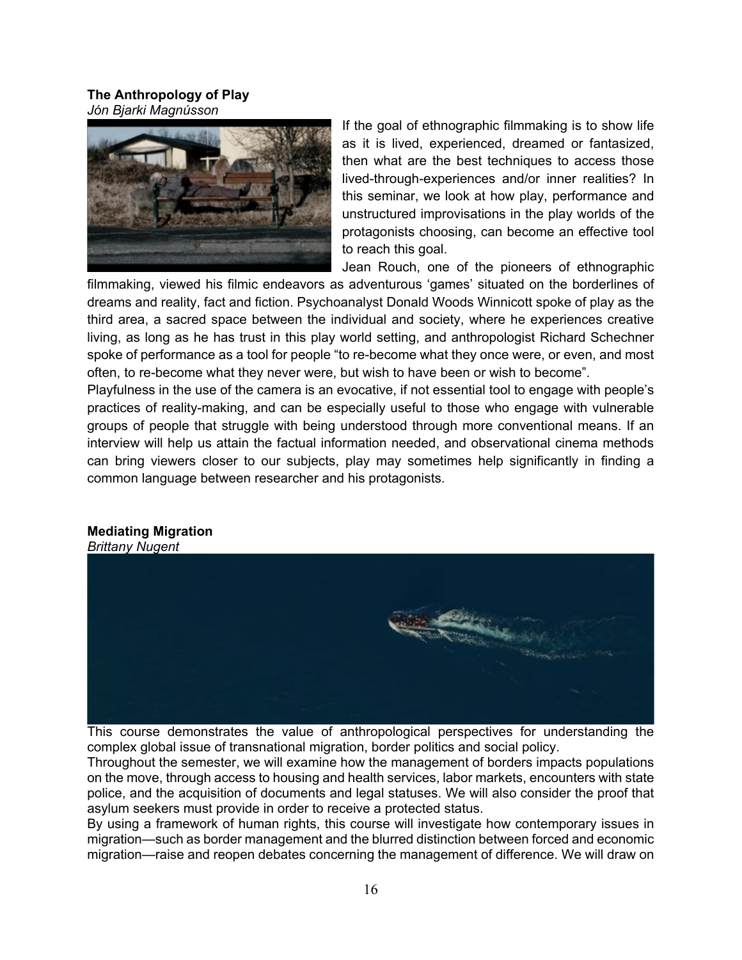## **The Anthropology of Play**

*Jón Bjarki Magnússon* 



If the goal of ethnographic filmmaking is to show life as it is lived, experienced, dreamed or fantasized, then what are the best techniques to access those lived-through-experiences and/or inner realities? In this seminar, we look at how play, performance and unstructured improvisations in the play worlds of the protagonists choosing, can become an effective tool to reach this goal.

Jean Rouch, one of the pioneers of ethnographic

filmmaking, viewed his filmic endeavors as adventurous 'games' situated on the borderlines of dreams and reality, fact and fiction. Psychoanalyst Donald Woods Winnicott spoke of play as the third area, a sacred space between the individual and society, where he experiences creative living, as long as he has trust in this play world setting, and anthropologist Richard Schechner spoke of performance as a tool for people "to re-become what they once were, or even, and most often, to re-become what they never were, but wish to have been or wish to become".

Playfulness in the use of the camera is an evocative, if not essential tool to engage with people's practices of reality-making, and can be especially useful to those who engage with vulnerable groups of people that struggle with being understood through more conventional means. If an interview will help us attain the factual information needed, and observational cinema methods can bring viewers closer to our subjects, play may sometimes help significantly in finding a common language between researcher and his protagonists.

## **Mediating Migration**



This course demonstrates the value of anthropological perspectives for understanding the complex global issue of transnational migration, border politics and social policy.

Throughout the semester, we will examine how the management of borders impacts populations on the move, through access to housing and health services, labor markets, encounters with state police, and the acquisition of documents and legal statuses. We will also consider the proof that asylum seekers must provide in order to receive a protected status.

By using a framework of human rights, this course will investigate how contemporary issues in migration—such as border management and the blurred distinction between forced and economic migration—raise and reopen debates concerning the management of difference. We will draw on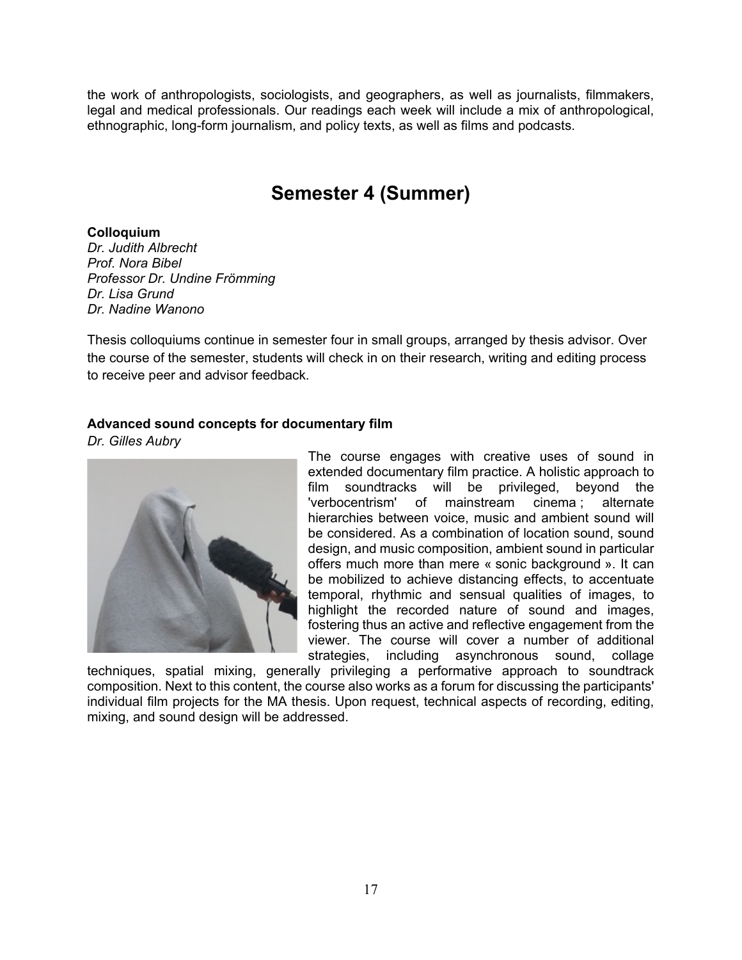the work of anthropologists, sociologists, and geographers, as well as journalists, filmmakers, legal and medical professionals. Our readings each week will include a mix of anthropological, ethnographic, long-form journalism, and policy texts, as well as films and podcasts.

# **Semester 4 (Summer)**

### **Colloquium**

*Dr. Judith Albrecht Prof. Nora Bibel Professor Dr. Undine Frömming Dr. Lisa Grund Dr. Nadine Wanono*

Thesis colloquiums continue in semester four in small groups, arranged by thesis advisor. Over the course of the semester, students will check in on their research, writing and editing process to receive peer and advisor feedback.

### **Advanced sound concepts for documentary film**

*Dr. Gilles Aubry*



The course engages with creative uses of sound in extended documentary film practice. A holistic approach to film soundtracks will be privileged, beyond the 'verbocentrism' of mainstream cinema ; alternate hierarchies between voice, music and ambient sound will be considered. As a combination of location sound, sound design, and music composition, ambient sound in particular offers much more than mere « sonic background ». It can be mobilized to achieve distancing effects, to accentuate temporal, rhythmic and sensual qualities of images, to highlight the recorded nature of sound and images, fostering thus an active and reflective engagement from the viewer. The course will cover a number of additional strategies, including asynchronous sound, collage

techniques, spatial mixing, generally privileging a performative approach to soundtrack composition. Next to this content, the course also works as a forum for discussing the participants' individual film projects for the MA thesis. Upon request, technical aspects of recording, editing, mixing, and sound design will be addressed.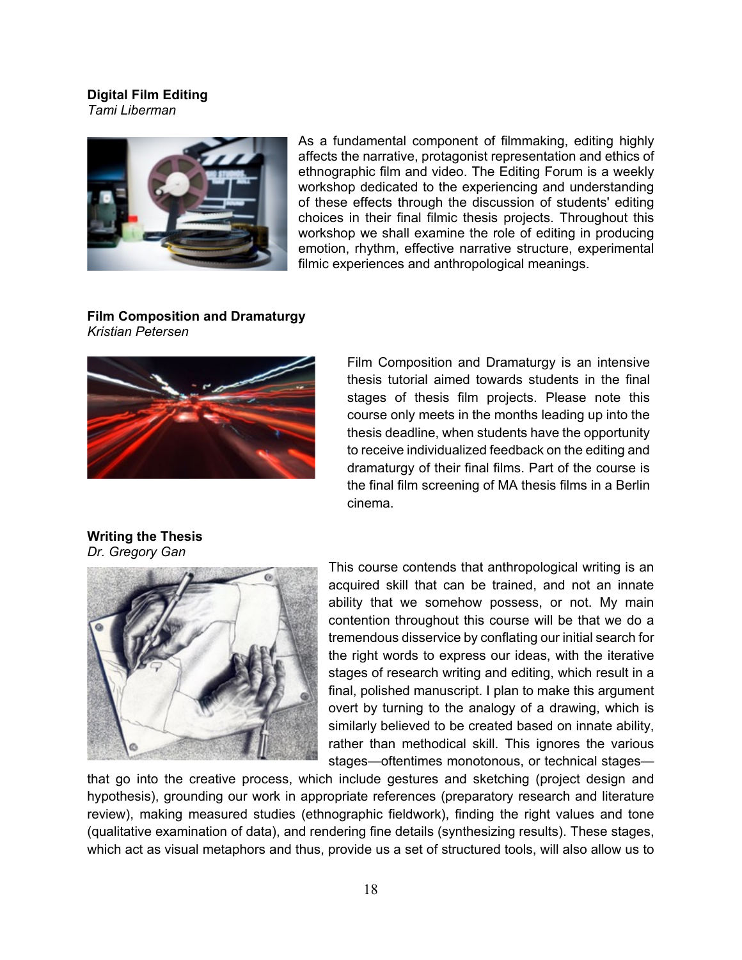## **Digital Film Editing**

*Tami Liberman*



As a fundamental component of filmmaking, editing highly affects the narrative, protagonist representation and ethics of ethnographic film and video. The Editing Forum is a weekly workshop dedicated to the experiencing and understanding of these effects through the discussion of students' editing choices in their final filmic thesis projects. Throughout this workshop we shall examine the role of editing in producing emotion, rhythm, effective narrative structure, experimental filmic experiences and anthropological meanings.

**Film Composition and Dramaturgy** *Kristian Petersen*



Film Composition and Dramaturgy is an intensive thesis tutorial aimed towards students in the final stages of thesis film projects. Please note this course only meets in the months leading up into the thesis deadline, when students have the opportunity to receive individualized feedback on the editing and dramaturgy of their final films. Part of the course is the final film screening of MA thesis films in a Berlin cinema.

**Writing the Thesis**  *Dr. Gregory Gan*



This course contends that anthropological writing is an acquired skill that can be trained, and not an innate ability that we somehow possess, or not. My main contention throughout this course will be that we do a tremendous disservice by conflating our initial search for the right words to express our ideas, with the iterative stages of research writing and editing, which result in a final, polished manuscript. I plan to make this argument overt by turning to the analogy of a drawing, which is similarly believed to be created based on innate ability, rather than methodical skill. This ignores the various stages—oftentimes monotonous, or technical stages—

that go into the creative process, which include gestures and sketching (project design and hypothesis), grounding our work in appropriate references (preparatory research and literature review), making measured studies (ethnographic fieldwork), finding the right values and tone (qualitative examination of data), and rendering fine details (synthesizing results). These stages, which act as visual metaphors and thus, provide us a set of structured tools, will also allow us to